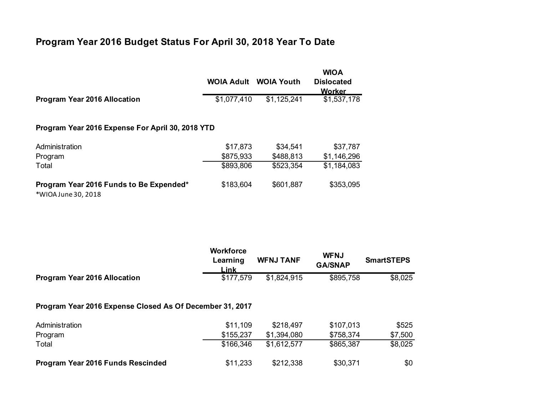## **Program Year 2016 Budget Status For April 30, 2018 Year To Date**

|                                                                | <b>WOIA Adult</b> | <b>WOIA Youth</b> | <b>WIOA</b><br><b>Dislocated</b><br><b>Worker</b> |  |  |  |
|----------------------------------------------------------------|-------------------|-------------------|---------------------------------------------------|--|--|--|
| <b>Program Year 2016 Allocation</b>                            | \$1,077,410       | \$1,125,241       | \$1,537,178                                       |  |  |  |
| Program Year 2016 Expense For April 30, 2018 YTD               |                   |                   |                                                   |  |  |  |
| Administration                                                 | \$17,873          | \$34,541          | \$37,787                                          |  |  |  |
| Program                                                        | \$875,933         | \$488,813         | \$1,146,296                                       |  |  |  |
| Total                                                          | \$893,806         | \$523,354         | \$1,184,083                                       |  |  |  |
| Program Year 2016 Funds to Be Expended*<br>*WIOA June 30, 2018 | \$183,604         | \$601,887         | \$353,095                                         |  |  |  |

|                                                          | <b>Workforce</b><br>Learning<br>Link | <b>WFNJ TANF</b> | <b>WFNJ</b><br><b>GA/SNAP</b> | <b>SmartSTEPS</b> |  |  |  |  |
|----------------------------------------------------------|--------------------------------------|------------------|-------------------------------|-------------------|--|--|--|--|
| <b>Program Year 2016 Allocation</b>                      | \$177,579                            | \$1,824,915      | \$895,758                     | \$8,025           |  |  |  |  |
| Program Year 2016 Expense Closed As Of December 31, 2017 |                                      |                  |                               |                   |  |  |  |  |
| Administration                                           | \$11,109                             | \$218,497        | \$107,013                     | \$525             |  |  |  |  |
| Program                                                  | \$155,237                            | \$1,394,080      | \$758,374                     | \$7,500           |  |  |  |  |
| Total                                                    | \$166,346                            | \$1,612,577      | \$865,387                     | \$8,025           |  |  |  |  |
| Program Year 2016 Funds Rescinded                        | \$11,233                             | \$212,338        | \$30,371                      | \$0               |  |  |  |  |